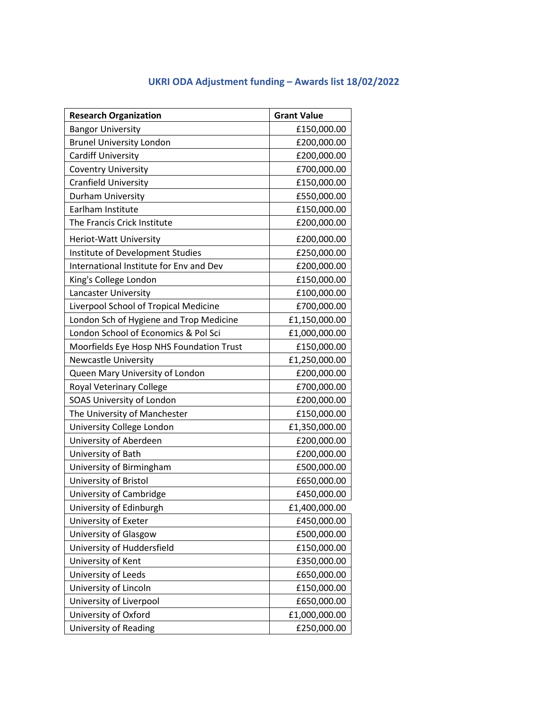## **UKRI ODA Adjustment funding – Awards list 18/02/2022**

| <b>Research Organization</b>             | <b>Grant Value</b> |
|------------------------------------------|--------------------|
| <b>Bangor University</b>                 | £150,000.00        |
| <b>Brunel University London</b>          | £200,000.00        |
| <b>Cardiff University</b>                | £200,000.00        |
| <b>Coventry University</b>               | £700,000.00        |
| <b>Cranfield University</b>              | £150,000.00        |
| Durham University                        | £550,000.00        |
| Earlham Institute                        | £150,000.00        |
| The Francis Crick Institute              | £200,000.00        |
| Heriot-Watt University                   | £200,000.00        |
| Institute of Development Studies         | £250,000.00        |
| International Institute for Env and Dev  | £200,000.00        |
| King's College London                    | £150,000.00        |
| Lancaster University                     | £100,000.00        |
| Liverpool School of Tropical Medicine    | £700,000.00        |
| London Sch of Hygiene and Trop Medicine  | £1,150,000.00      |
| London School of Economics & Pol Sci     | £1,000,000.00      |
| Moorfields Eye Hosp NHS Foundation Trust | £150,000.00        |
| <b>Newcastle University</b>              | £1,250,000.00      |
| Queen Mary University of London          | £200,000.00        |
| Royal Veterinary College                 | £700,000.00        |
| SOAS University of London                | £200,000.00        |
| The University of Manchester             | £150,000.00        |
| University College London                | £1,350,000.00      |
| University of Aberdeen                   | £200,000.00        |
| University of Bath                       | £200,000.00        |
| University of Birmingham                 | £500,000.00        |
| University of Bristol                    | £650,000.00        |
| University of Cambridge                  | £450,000.00        |
| University of Edinburgh                  | £1,400,000.00      |
| University of Exeter                     | £450,000.00        |
| University of Glasgow                    | £500,000.00        |
| University of Huddersfield               | £150,000.00        |
| University of Kent                       | £350,000.00        |
| University of Leeds                      | £650,000.00        |
| University of Lincoln                    | £150,000.00        |
| University of Liverpool                  | £650,000.00        |
| University of Oxford                     | £1,000,000.00      |
| University of Reading                    | £250,000.00        |